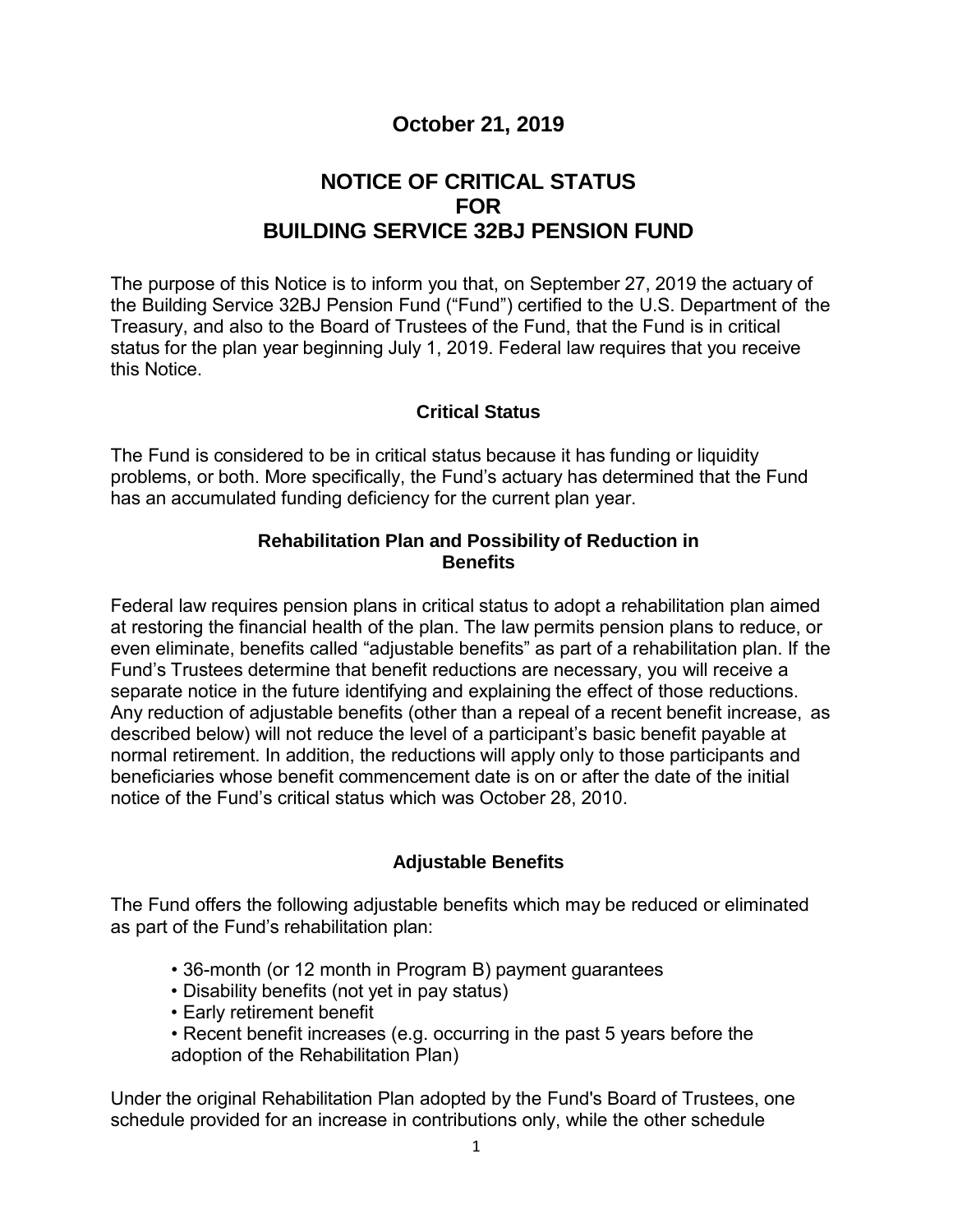## **October 21, 2019**

# **NOTICE OF CRITICAL STATUS FOR BUILDING SERVICE 32BJ PENSION FUND**

 Treasury, and also to the Board of Trustees of the Fund, that the Fund is in critical The purpose of this Notice is to inform you that, on September 27, 2019 the actuary of the Building Service 32BJ Pension Fund ("Fund") certified to the U.S. Department of the status for the plan year beginning July 1, 2019. Federal law requires that you receive this Notice.

### **Critical Status**

 has an accumulated funding deficiency for the current plan year. The Fund is considered to be in critical status because it has funding or liquidity problems, or both. More specifically, the Fund's actuary has determined that the Fund

## **Rehabilitation Plan and Possibility of Reduction in Benefits**

Federal law requires pension plans in critical status to adopt a rehabilitation plan aimed at restoring the financial health of the plan. The law permits pension plans to reduce, or even eliminate, benefits called "adjustable benefits" as part of a rehabilitation plan. If the Fund's Trustees determine that benefit reductions are necessary, you will receive a separate notice in the future identifying and explaining the effect of those reductions. Any reduction of adjustable benefits (other than a repeal of a recent benefit increase, as described below) will not reduce the level of a participant's basic benefit payable at normal retirement. In addition, the reductions will apply only to those participants and beneficiaries whose benefit commencement date is on or after the date of the initial notice of the Fund's critical status which was October 28, 2010.

### **Adjustable Benefits**

The Fund offers the following adjustable benefits which may be reduced or eliminated as part of the Fund's rehabilitation plan:

- 36-month (or 12 month in Program B) payment guarantees
- Disability benefits (not yet in pay status)
- Early retirement benefit
- Recent benefit increases (e.g. occurring in the past 5 years before the adoption of the Rehabilitation Plan)

Under the original Rehabilitation Plan adopted by the Fund's Board of Trustees, one schedule provided for an increase in contributions only, while the other schedule